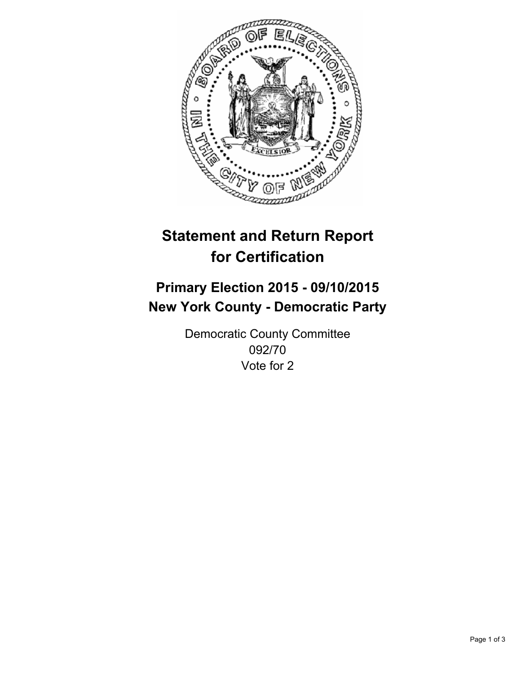

# **Statement and Return Report for Certification**

## **Primary Election 2015 - 09/10/2015 New York County - Democratic Party**

Democratic County Committee 092/70 Vote for 2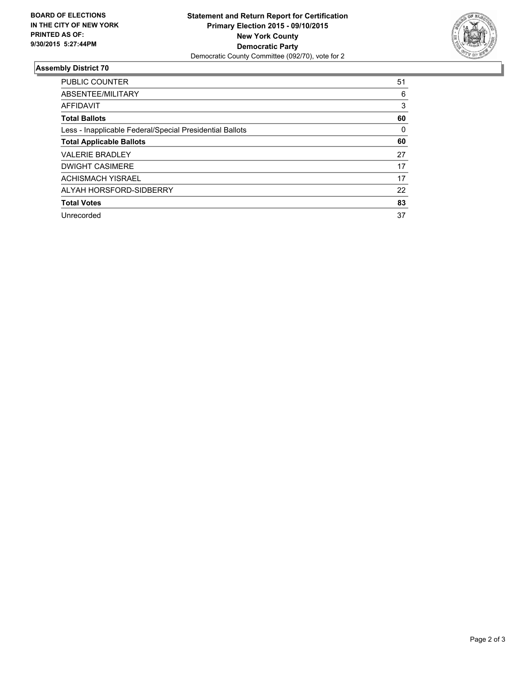

#### **Assembly District 70**

| <b>PUBLIC COUNTER</b>                                    | 51 |
|----------------------------------------------------------|----|
| ABSENTEE/MILITARY                                        | 6  |
| AFFIDAVIT                                                | 3  |
| <b>Total Ballots</b>                                     | 60 |
| Less - Inapplicable Federal/Special Presidential Ballots | 0  |
| <b>Total Applicable Ballots</b>                          | 60 |
| <b>VALERIE BRADLEY</b>                                   | 27 |
| <b>DWIGHT CASIMERE</b>                                   | 17 |
| <b>ACHISMACH YISRAEL</b>                                 | 17 |
| ALYAH HORSFORD-SIDBERRY                                  | 22 |
| <b>Total Votes</b>                                       | 83 |
| Unrecorded                                               | 37 |